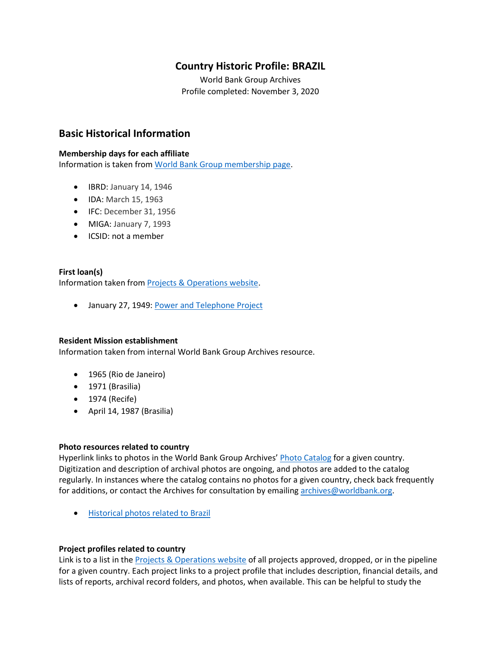# **Country Historic Profile: BRAZIL**

World Bank Group Archives Profile completed: November 3, 2020

# **Basic Historical Information**

#### **Membership days for each affiliate**

Information is taken from [World Bank Group membership page.](https://www.worldbank.org/en/about/leadership/members#1)

- IBRD: January 14, 1946
- IDA: March 15, 1963
- IFC: December 31, 1956
- MIGA: January 7, 1993
- ICSID: not a member

## **First loan(s)**

Information taken from [Projects & Operations website.](https://projects.worldbank.org/)

• January 27, 1949: [Power and Telephone Project](https://projects.worldbank.org/en/projects-operations/project-detail/P006214)

## **Resident Mission establishment**

Information taken from internal World Bank Group Archives resource.

- 1965 (Rio de Janeiro)
- 1971 (Brasilia)
- 1974 (Recife)
- April 14, 1987 (Brasilia)

#### **Photo resources related to country**

Hyperlink links to photos in the World Bank Group Archives' [Photo Catalog](https://archivesphotos.worldbank.org/en/about/archives/photo-gallery) for a given country. Digitization and description of archival photos are ongoing, and photos are added to the catalog regularly. In instances where the catalog contains no photos for a given country, check back frequently for additions, or contact the Archives for consultation by emailin[g archives@worldbank.org.](mailto:archives@worldbank.org)

• [Historical photos related to Brazil](https://archivesphotos.worldbank.org/en/about/archives/photo-gallery/photo-gallery-landing?wbg_country=Brazil)

## **Project profiles related to country**

Link is to a list in the [Projects & Operations website](https://projects.worldbank.org/) of all projects approved, dropped, or in the pipeline for a given country. Each project links to a project profile that includes description, financial details, and lists of reports, archival record folders, and photos, when available. This can be helpful to study the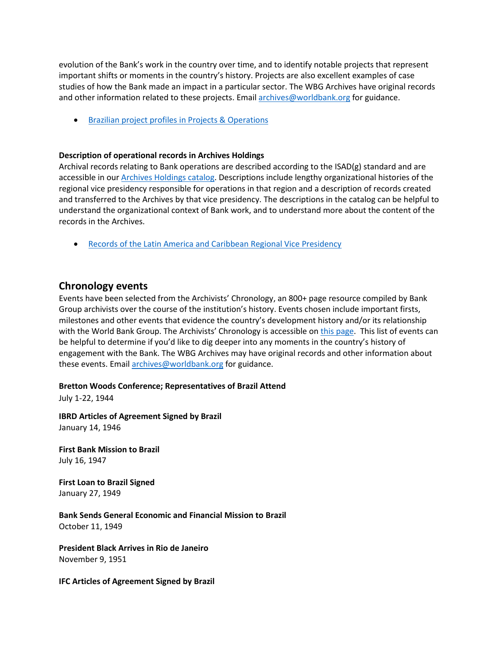evolution of the Bank's work in the country over time, and to identify notable projects that represent important shifts or moments in the country's history. Projects are also excellent examples of case studies of how the Bank made an impact in a particular sector. The WBG Archives have original records and other information related to these projects. Email [archives@worldbank.org](mailto:archives@worldbank.org) for guidance.

• Brazilian [project profiles in Projects & Operations](https://projects.worldbank.org/en/projects-operations/projects-list?countrycode_exact=BR)

## **Description of operational records in Archives Holdings**

Archival records relating to Bank operations are described according to the ISAD(g) standard and are accessible in our [Archives Holdings catalog.](https://archivesholdings.worldbank.org/) Descriptions include lengthy organizational histories of the regional vice presidency responsible for operations in that region and a description of records created and transferred to the Archives by that vice presidency. The descriptions in the catalog can be helpful to understand the organizational context of Bank work, and to understand more about the content of the records in the Archives.

• [Records of the Latin America and Caribbean Regional Vice Presidency](https://archivesholdings.worldbank.org/records-of-latin-america-and-caribbean-regional-vice-presidency)

## **Chronology events**

Events have been selected from the Archivists' Chronology, an 800+ page resource compiled by Bank Group archivists over the course of the institution's history. Events chosen include important firsts, milestones and other events that evidence the country's development history and/or its relationship with the World Bank Group. The Archivists' Chronology is accessible on *this page*. This list of events can be helpful to determine if you'd like to dig deeper into any moments in the country's history of engagement with the Bank. The WBG Archives may have original records and other information about these events. Email [archives@worldbank.org](mailto:archives@worldbank.org) for guidance.

**Bretton Woods Conference; Representatives of Brazil Attend**

July 1-22, 1944

**IBRD Articles of Agreement Signed by Brazil** January 14, 1946

**First Bank Mission to Brazil** July 16, 1947

**First Loan to Brazil Signed** January 27, 1949

**Bank Sends General Economic and Financial Mission to Brazil** October 11, 1949

**President Black Arrives in Rio de Janeiro** November 9, 1951

**IFC Articles of Agreement Signed by Brazil**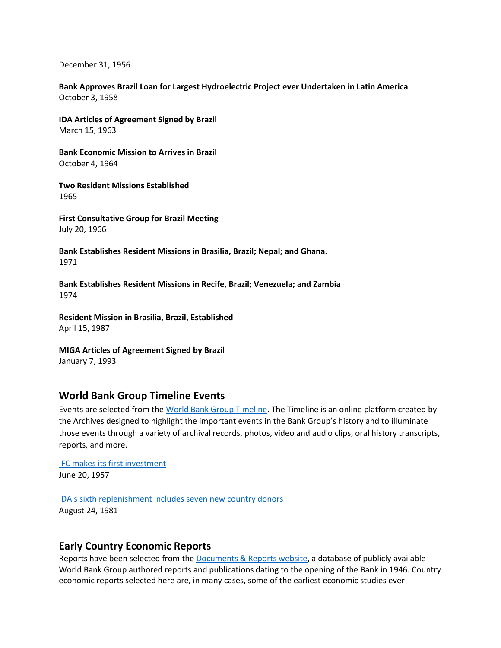December 31, 1956

**Bank Approves Brazil Loan for Largest Hydroelectric Project ever Undertaken in Latin America** October 3, 1958

**IDA Articles of Agreement Signed by Brazil** March 15, 1963

**Bank Economic Mission to Arrives in Brazil** October 4, 1964

**Two Resident Missions Established** 1965

**First Consultative Group for Brazil Meeting** July 20, 1966

**Bank Establishes Resident Missions in Brasilia, Brazil; Nepal; and Ghana.** 1971

**Bank Establishes Resident Missions in Recife, Brazil; Venezuela; and Zambia** 1974

**Resident Mission in Brasilia, Brazil, Established** April 15, 1987

**MIGA Articles of Agreement Signed by Brazil** January 7, 1993

## **World Bank Group Timeline Events**

Events are selected from th[e World Bank Group Timeline.](https://timeline.worldbank.org/#event-bretton-woods-conference-begins) The Timeline is an online platform created by the Archives designed to highlight the important events in the Bank Group's history and to illuminate those events through a variety of archival records, photos, video and audio clips, oral history transcripts, reports, and more.

[IFC makes its first investment](https://timeline.worldbank.org/?field_timeline_target_id=All&combine=brazil#event-ifc-makes-its-first-investment) June 20, 1957

[IDA's sixth replenishment includes seven new country donors](https://timeline.worldbank.org/?field_timeline_target_id=All&combine=Brazil#event-ida039-s-sixth-replenishment-includes-seven-new-country-donors) August 24, 1981

# **Early Country Economic Reports**

Reports have been selected from the [Documents & Reports website,](https://documents.worldbank.org/) a database of publicly available World Bank Group authored reports and publications dating to the opening of the Bank in 1946. Country economic reports selected here are, in many cases, some of the earliest economic studies ever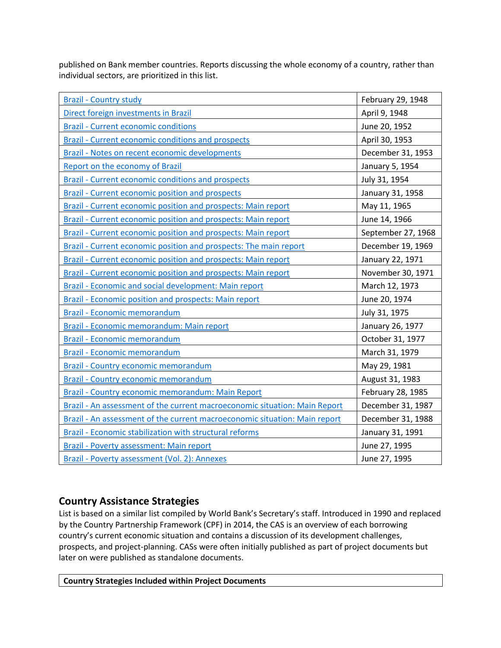published on Bank member countries. Reports discussing the whole economy of a country, rather than individual sectors, are prioritized in this list.

| <b>Brazil - Country study</b>                                              | February 29, 1948  |
|----------------------------------------------------------------------------|--------------------|
| Direct foreign investments in Brazil                                       | April 9, 1948      |
| <b>Brazil - Current economic conditions</b>                                | June 20, 1952      |
| Brazil - Current economic conditions and prospects                         | April 30, 1953     |
| Brazil - Notes on recent economic developments                             | December 31, 1953  |
| Report on the economy of Brazil                                            | January 5, 1954    |
| Brazil - Current economic conditions and prospects                         | July 31, 1954      |
| <b>Brazil - Current economic position and prospects</b>                    | January 31, 1958   |
| Brazil - Current economic position and prospects: Main report              | May 11, 1965       |
| Brazil - Current economic position and prospects: Main report              | June 14, 1966      |
| Brazil - Current economic position and prospects: Main report              | September 27, 1968 |
| Brazil - Current economic position and prospects: The main report          | December 19, 1969  |
| Brazil - Current economic position and prospects: Main report              | January 22, 1971   |
| Brazil - Current economic position and prospects: Main report              | November 30, 1971  |
| Brazil - Economic and social development: Main report                      | March 12, 1973     |
| <b>Brazil - Economic position and prospects: Main report</b>               | June 20, 1974      |
| <b>Brazil - Economic memorandum</b>                                        | July 31, 1975      |
| Brazil - Economic memorandum: Main report                                  | January 26, 1977   |
| <b>Brazil - Economic memorandum</b>                                        | October 31, 1977   |
| <b>Brazil - Economic memorandum</b>                                        | March 31, 1979     |
| <b>Brazil - Country economic memorandum</b>                                | May 29, 1981       |
| <b>Brazil - Country economic memorandum</b>                                | August 31, 1983    |
| Brazil - Country economic memorandum: Main Report                          | February 28, 1985  |
| Brazil - An assessment of the current macroeconomic situation: Main Report | December 31, 1987  |
| Brazil - An assessment of the current macroeconomic situation: Main report | December 31, 1988  |
| <b>Brazil - Economic stabilization with structural reforms</b>             | January 31, 1991   |
| Brazil - Poverty assessment: Main report                                   | June 27, 1995      |
| Brazil - Poverty assessment (Vol. 2): Annexes                              | June 27, 1995      |

# **Country Assistance Strategies**

List is based on a similar list compiled by World Bank's Secretary's staff. Introduced in 1990 and replaced by the Country Partnership Framework (CPF) in 2014, the CAS is an overview of each borrowing country's current economic situation and contains a discussion of its development challenges, prospects, and project-planning. CASs were often initially published as part of project documents but later on were published as standalone documents.

**Country Strategies Included within Project Documents**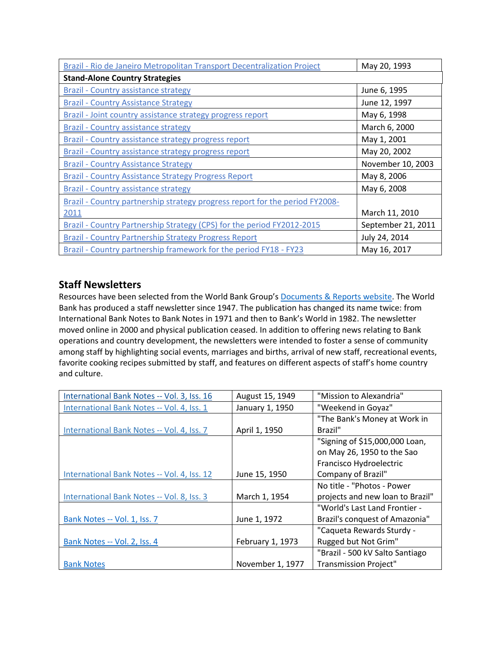| Brazil - Rio de Janeiro Metropolitan Transport Decentralization Project      | May 20, 1993       |
|------------------------------------------------------------------------------|--------------------|
| <b>Stand-Alone Country Strategies</b>                                        |                    |
| <b>Brazil - Country assistance strategy</b>                                  | June 6, 1995       |
| <b>Brazil - Country Assistance Strategy</b>                                  | June 12, 1997      |
| Brazil - Joint country assistance strategy progress report                   | May 6, 1998        |
| <b>Brazil - Country assistance strategy</b>                                  | March 6, 2000      |
| Brazil - Country assistance strategy progress report                         | May 1, 2001        |
| <b>Brazil - Country assistance strategy progress report</b>                  | May 20, 2002       |
| <b>Brazil - Country Assistance Strategy</b>                                  | November 10, 2003  |
| <b>Brazil - Country Assistance Strategy Progress Report</b>                  | May 8, 2006        |
| <b>Brazil - Country assistance strategy</b>                                  | May 6, 2008        |
| Brazil - Country partnership strategy progress report for the period FY2008- |                    |
| 2011                                                                         | March 11, 2010     |
| Brazil - Country Partnership Strategy (CPS) for the period FY2012-2015       | September 21, 2011 |
| <b>Brazil - Country Partnership Strategy Progress Report</b>                 | July 24, 2014      |
| Brazil - Country partnership framework for the period FY18 - FY23            | May 16, 2017       |

# **Staff Newsletters**

Resources have been selected from the World Bank Group's [Documents & Reports website.](https://documents.worldbank.org/) The World Bank has produced a staff newsletter since 1947. The publication has changed its name twice: from International Bank Notes to Bank Notes in 1971 and then to Bank's World in 1982. The newsletter moved online in 2000 and physical publication ceased. In addition to offering news relating to Bank operations and country development, the newsletters were intended to foster a sense of community among staff by highlighting social events, marriages and births, arrival of new staff, recreational events, favorite cooking recipes submitted by staff, and features on different aspects of staff's home country and culture.

| International Bank Notes -- Vol. 3, Iss. 16 | August 15, 1949  | "Mission to Alexandria"          |
|---------------------------------------------|------------------|----------------------------------|
| International Bank Notes -- Vol. 4, Iss. 1  | January 1, 1950  | "Weekend in Goyaz"               |
|                                             |                  | "The Bank's Money at Work in     |
| International Bank Notes -- Vol. 4, Iss. 7  | April 1, 1950    | Brazil"                          |
|                                             |                  | "Signing of \$15,000,000 Loan,   |
|                                             |                  | on May 26, 1950 to the Sao       |
|                                             |                  | Francisco Hydroelectric          |
| International Bank Notes -- Vol. 4, Iss. 12 | June 15, 1950    | Company of Brazil"               |
|                                             |                  | No title - "Photos - Power       |
| International Bank Notes -- Vol. 8, Iss. 3  | March 1, 1954    | projects and new loan to Brazil" |
|                                             |                  | "World's Last Land Frontier -    |
| Bank Notes -- Vol. 1, Iss. 7                | June 1, 1972     | Brazil's conquest of Amazonia"   |
|                                             |                  | "Caqueta Rewards Sturdy -        |
| Bank Notes -- Vol. 2, Iss. 4                | February 1, 1973 | Rugged but Not Grim"             |
|                                             |                  | "Brazil - 500 kV Salto Santiago  |
| <b>Bank Notes</b>                           | November 1, 1977 | <b>Transmission Project"</b>     |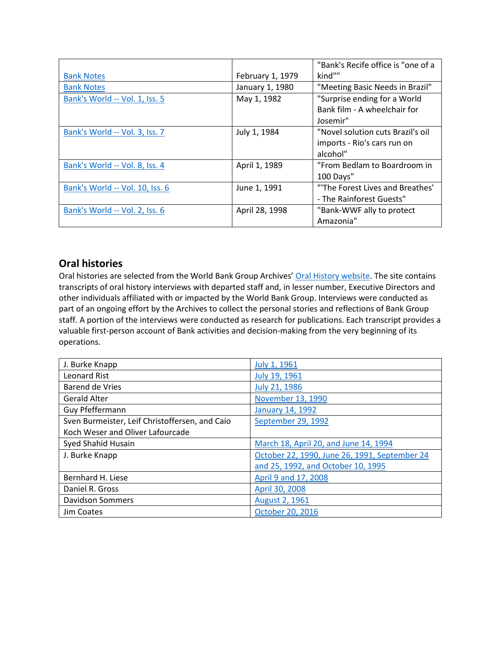|                                 |                  | "Bank's Recife office is "one of a |
|---------------------------------|------------------|------------------------------------|
| <b>Bank Notes</b>               | February 1, 1979 | kind""                             |
| <b>Bank Notes</b>               | January 1, 1980  | "Meeting Basic Needs in Brazil"    |
| Bank's World -- Vol. 1, Iss. 5  | May 1, 1982      | "Surprise ending for a World       |
|                                 |                  | Bank film - A wheelchair for       |
|                                 |                  | Josemir"                           |
| Bank's World -- Vol. 3, Iss. 7  | July 1, 1984     | "Novel solution cuts Brazil's oil  |
|                                 |                  | imports - Rio's cars run on        |
|                                 |                  | alcohol"                           |
| Bank's World -- Vol. 8, Iss. 4  | April 1, 1989    | "From Bedlam to Boardroom in       |
|                                 |                  | 100 Days"                          |
| Bank's World -- Vol. 10, Iss. 6 | June 1, 1991     | "The Forest Lives and Breathes'    |
|                                 |                  | - The Rainforest Guests"           |
| Bank's World -- Vol. 2, Iss. 6  | April 28, 1998   | "Bank-WWF ally to protect          |
|                                 |                  | Amazonia"                          |

# **Oral histories**

Oral histories are selected from the World Bank Group Archives' [Oral History website.](https://oralhistory.worldbank.org/) The site contains transcripts of oral history interviews with departed staff and, in lesser number, Executive Directors and other individuals affiliated with or impacted by the World Bank Group. Interviews were conducted as part of an ongoing effort by the Archives to collect the personal stories and reflections of Bank Group staff. A portion of the interviews were conducted as research for publications. Each transcript provides a valuable first-person account of Bank activities and decision-making from the very beginning of its operations.

| J. Burke Knapp                                 | July 1, 1961                                  |
|------------------------------------------------|-----------------------------------------------|
| <b>Leonard Rist</b>                            | July 19, 1961                                 |
| <b>Barend de Vries</b>                         | July 21, 1986                                 |
| <b>Gerald Alter</b>                            | November 13, 1990                             |
| Guy Pfeffermann                                | January 14, 1992                              |
| Sven Burmeister, Leif Christoffersen, and Caio | September 29, 1992                            |
| Koch Weser and Oliver Lafourcade               |                                               |
| Syed Shahid Husain                             | March 18, April 20, and June 14, 1994         |
| J. Burke Knapp                                 | October 22, 1990, June 26, 1991, September 24 |
|                                                | and 25, 1992, and October 10, 1995            |
| Bernhard H. Liese                              | April 9 and 17, 2008                          |
| Daniel R. Gross                                | April 30, 2008                                |
| <b>Davidson Sommers</b>                        | August 2, 1961                                |
| Jim Coates                                     | October 20, 2016                              |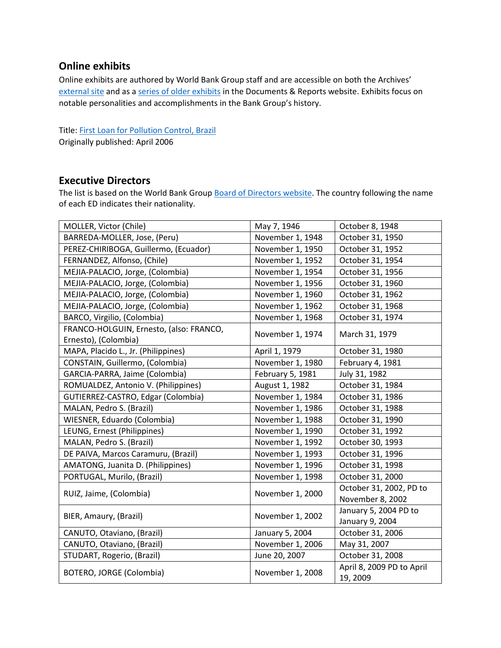# **Online exhibits**

Online exhibits are authored by World Bank Group staff and are accessible on both the Archives' [external site](https://www.worldbank.org/en/about/archives/history/exhibits) and as a [series of older exhibits](https://documents.worldbank.org/en/publication/documents-reports/documentlist?colti=World%20Bank%20Group%20Archives%20exhibit%20series) in the Documents & Reports website. Exhibits focus on notable personalities and accomplishments in the Bank Group's history.

Title: [First Loan for Pollution Control, Brazil](https://documents.worldbank.org/en/publication/documents-reports/documentdetail/432471467998831477/first-loan-for-pollution-control-brazil) Originally published: April 2006

## **Executive Directors**

The list is based on the World Bank Group [Board of Directors website.](https://worldbankgroup.sharepoint.com/sites/wbsites/ExecutiveBoard/Pages/pc/About-the-Boards-05222019-155532/List-of-Executi-05222019-155839.aspx) The country following the name of each ED indicates their nationality.

| MOLLER, Victor (Chile)                  | May 7, 1946      | October 8, 1948                       |
|-----------------------------------------|------------------|---------------------------------------|
| BARREDA-MOLLER, Jose, (Peru)            | November 1, 1948 | October 31, 1950                      |
| PEREZ-CHIRIBOGA, Guillermo, (Ecuador)   | November 1, 1950 | October 31, 1952                      |
| FERNANDEZ, Alfonso, (Chile)             | November 1, 1952 | October 31, 1954                      |
| MEJIA-PALACIO, Jorge, (Colombia)        | November 1, 1954 | October 31, 1956                      |
| MEJIA-PALACIO, Jorge, (Colombia)        | November 1, 1956 | October 31, 1960                      |
| MEJIA-PALACIO, Jorge, (Colombia)        | November 1, 1960 | October 31, 1962                      |
| MEJIA-PALACIO, Jorge, (Colombia)        | November 1, 1962 | October 31, 1968                      |
| BARCO, Virgilio, (Colombia)             | November 1, 1968 | October 31, 1974                      |
| FRANCO-HOLGUIN, Ernesto, (also: FRANCO, | November 1, 1974 | March 31, 1979                        |
| Ernesto), (Colombia)                    |                  |                                       |
| MAPA, Placido L., Jr. (Philippines)     | April 1, 1979    | October 31, 1980                      |
| CONSTAIN, Guillermo, (Colombia)         | November 1, 1980 | February 4, 1981                      |
| GARCIA-PARRA, Jaime (Colombia)          | February 5, 1981 | July 31, 1982                         |
| ROMUALDEZ, Antonio V. (Philippines)     | August 1, 1982   | October 31, 1984                      |
| GUTIERREZ-CASTRO, Edgar (Colombia)      | November 1, 1984 | October 31, 1986                      |
| MALAN, Pedro S. (Brazil)                | November 1, 1986 | October 31, 1988                      |
| WIESNER, Eduardo (Colombia)             | November 1, 1988 | October 31, 1990                      |
| LEUNG, Ernest (Philippines)             | November 1, 1990 | October 31, 1992                      |
| MALAN, Pedro S. (Brazil)                | November 1, 1992 | October 30, 1993                      |
| DE PAIVA, Marcos Caramuru, (Brazil)     | November 1, 1993 | October 31, 1996                      |
| AMATONG, Juanita D. (Philippines)       | November 1, 1996 | October 31, 1998                      |
| PORTUGAL, Murilo, (Brazil)              | November 1, 1998 | October 31, 2000                      |
| RUIZ, Jaime, (Colombia)                 | November 1, 2000 | October 31, 2002, PD to               |
|                                         |                  | November 8, 2002                      |
| BIER, Amaury, (Brazil)                  | November 1, 2002 | January 5, 2004 PD to                 |
|                                         |                  | January 9, 2004                       |
| CANUTO, Otaviano, (Brazil)              | January 5, 2004  | October 31, 2006                      |
| CANUTO, Otaviano, (Brazil)              | November 1, 2006 | May 31, 2007                          |
| STUDART, Rogerio, (Brazil)              | June 20, 2007    | October 31, 2008                      |
| BOTERO, JORGE (Colombia)                | November 1, 2008 | April 8, 2009 PD to April<br>19, 2009 |